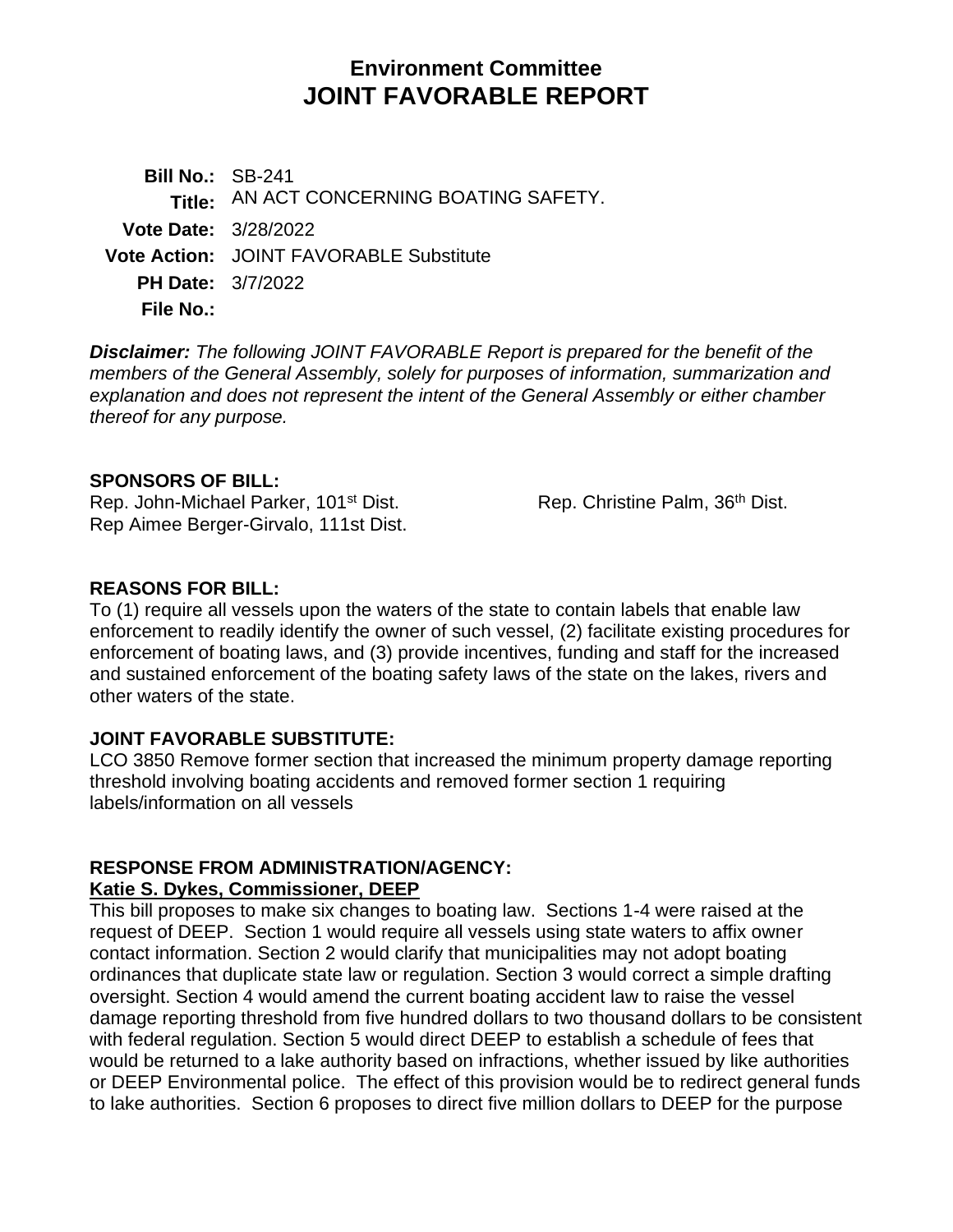# **Environment Committee JOINT FAVORABLE REPORT**

**Bill No.:** SB-241 **Title:** AN ACT CONCERNING BOATING SAFETY. **Vote Date:** 3/28/2022 **Vote Action:** JOINT FAVORABLE Substitute **PH Date:** 3/7/2022 **File No.:**

*Disclaimer: The following JOINT FAVORABLE Report is prepared for the benefit of the members of the General Assembly, solely for purposes of information, summarization and explanation and does not represent the intent of the General Assembly or either chamber thereof for any purpose.*

#### **SPONSORS OF BILL:**

Rep. John-Michael Parker, 101<sup>st</sup> Dist. Rep. Christine Palm, 36<sup>th</sup> Dist. Rep Aimee Berger-Girvalo, 111st Dist.

#### **REASONS FOR BILL:**

To (1) require all vessels upon the waters of the state to contain labels that enable law enforcement to readily identify the owner of such vessel, (2) facilitate existing procedures for enforcement of boating laws, and (3) provide incentives, funding and staff for the increased and sustained enforcement of the boating safety laws of the state on the lakes, rivers and other waters of the state.

#### **JOINT FAVORABLE SUBSTITUTE:**

LCO 3850 Remove former section that increased the minimum property damage reporting threshold involving boating accidents and removed former section 1 requiring labels/information on all vessels

# **RESPONSE FROM ADMINISTRATION/AGENCY:**

#### **Katie S. Dykes, Commissioner, DEEP**

This bill proposes to make six changes to boating law. Sections 1-4 were raised at the request of DEEP. Section 1 would require all vessels using state waters to affix owner contact information. Section 2 would clarify that municipalities may not adopt boating ordinances that duplicate state law or regulation. Section 3 would correct a simple drafting oversight. Section 4 would amend the current boating accident law to raise the vessel damage reporting threshold from five hundred dollars to two thousand dollars to be consistent with federal regulation. Section 5 would direct DEEP to establish a schedule of fees that would be returned to a lake authority based on infractions, whether issued by like authorities or DEEP Environmental police. The effect of this provision would be to redirect general funds to lake authorities. Section 6 proposes to direct five million dollars to DEEP for the purpose